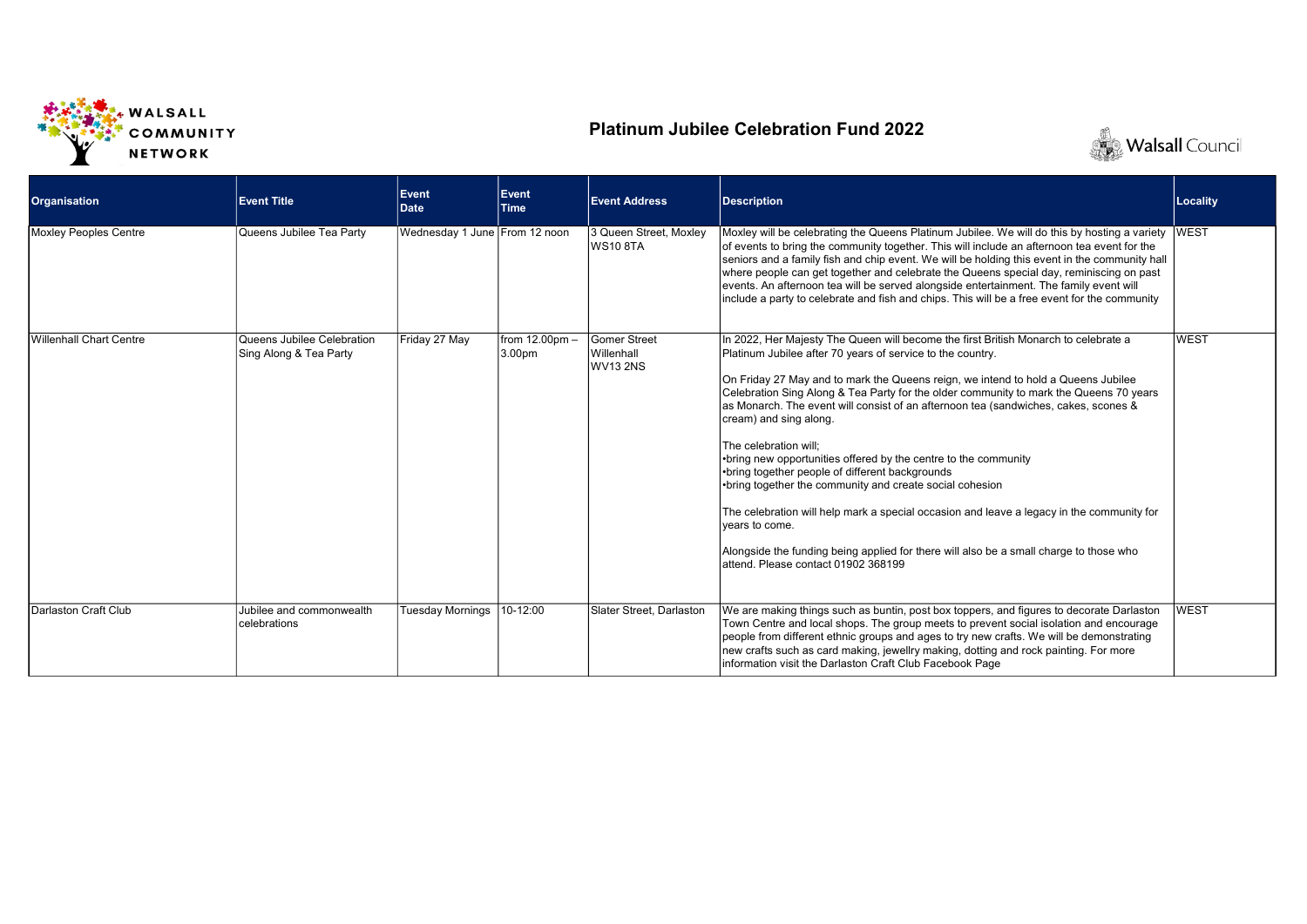

## Platinum Jubilee Celebration Fund 2022



| <b>Organisation</b>     | <b>Event Title</b>                                   | Event<br><b>Date</b>          | <b>Event</b><br><b>Time</b>   | <b>Event Address</b>                          | <b>Description</b>                                                                                                                                                                                                                                                                                                                                                                                                                                                                                                                                                                                                                                                                                                                                                                                                                                                                                           | Locality    |
|-------------------------|------------------------------------------------------|-------------------------------|-------------------------------|-----------------------------------------------|--------------------------------------------------------------------------------------------------------------------------------------------------------------------------------------------------------------------------------------------------------------------------------------------------------------------------------------------------------------------------------------------------------------------------------------------------------------------------------------------------------------------------------------------------------------------------------------------------------------------------------------------------------------------------------------------------------------------------------------------------------------------------------------------------------------------------------------------------------------------------------------------------------------|-------------|
| Moxley Peoples Centre   | Queens Jubilee Tea Party                             | Wednesday 1 June From 12 noon |                               | 3 Queen Street. Moxlev<br><b>WS10 8TA</b>     | Moxley will be celebrating the Queens Platinum Jubilee. We will do this by hosting a variety<br>of events to bring the community together. This will include an afternoon tea event for the<br>seniors and a family fish and chip event. We will be holding this event in the community hall<br>where people can get together and celebrate the Queens special day, reminiscing on past<br>events. An afternoon tea will be served alongside entertainment. The family event will<br>include a party to celebrate and fish and chips. This will be a free event for the community                                                                                                                                                                                                                                                                                                                            | <b>WEST</b> |
| Willenhall Chart Centre | Queens Jubilee Celebration<br>Sing Along & Tea Party | Friday 27 May                 | from $12.00$ pm $-$<br>3.00pm | <b>Gomer Street</b><br>Willenhall<br>WV13 2NS | In 2022, Her Majesty The Queen will become the first British Monarch to celebrate a<br>Platinum Jubilee after 70 years of service to the country.<br>On Friday 27 May and to mark the Queens reign, we intend to hold a Queens Jubilee<br>Celebration Sing Along & Tea Party for the older community to mark the Queens 70 years<br>as Monarch. The event will consist of an afternoon tea (sandwiches, cakes, scones &<br>cream) and sing along.<br>The celebration will:<br>•bring new opportunities offered by the centre to the community<br>•bring together people of different backgrounds<br>•bring together the community and create social cohesion<br>The celebration will help mark a special occasion and leave a legacy in the community for<br>vears to come.<br>Alongside the funding being applied for there will also be a small charge to those who<br>attend. Please contact 01902 368199 | <b>WEST</b> |
| Darlaston Craft Club    | Jubilee and commonwealth<br>celebrations             | Tuesday Mornings              | 10-12:00                      | Slater Street, Darlaston                      | We are making things such as buntin, post box toppers, and figures to decorate Darlaston<br>Town Centre and local shops. The group meets to prevent social isolation and encourage<br>people from different ethnic groups and ages to try new crafts. We will be demonstrating<br>new crafts such as card making, jewellry making, dotting and rock painting. For more<br>information visit the Darlaston Craft Club Facebook Page                                                                                                                                                                                                                                                                                                                                                                                                                                                                           | <b>WEST</b> |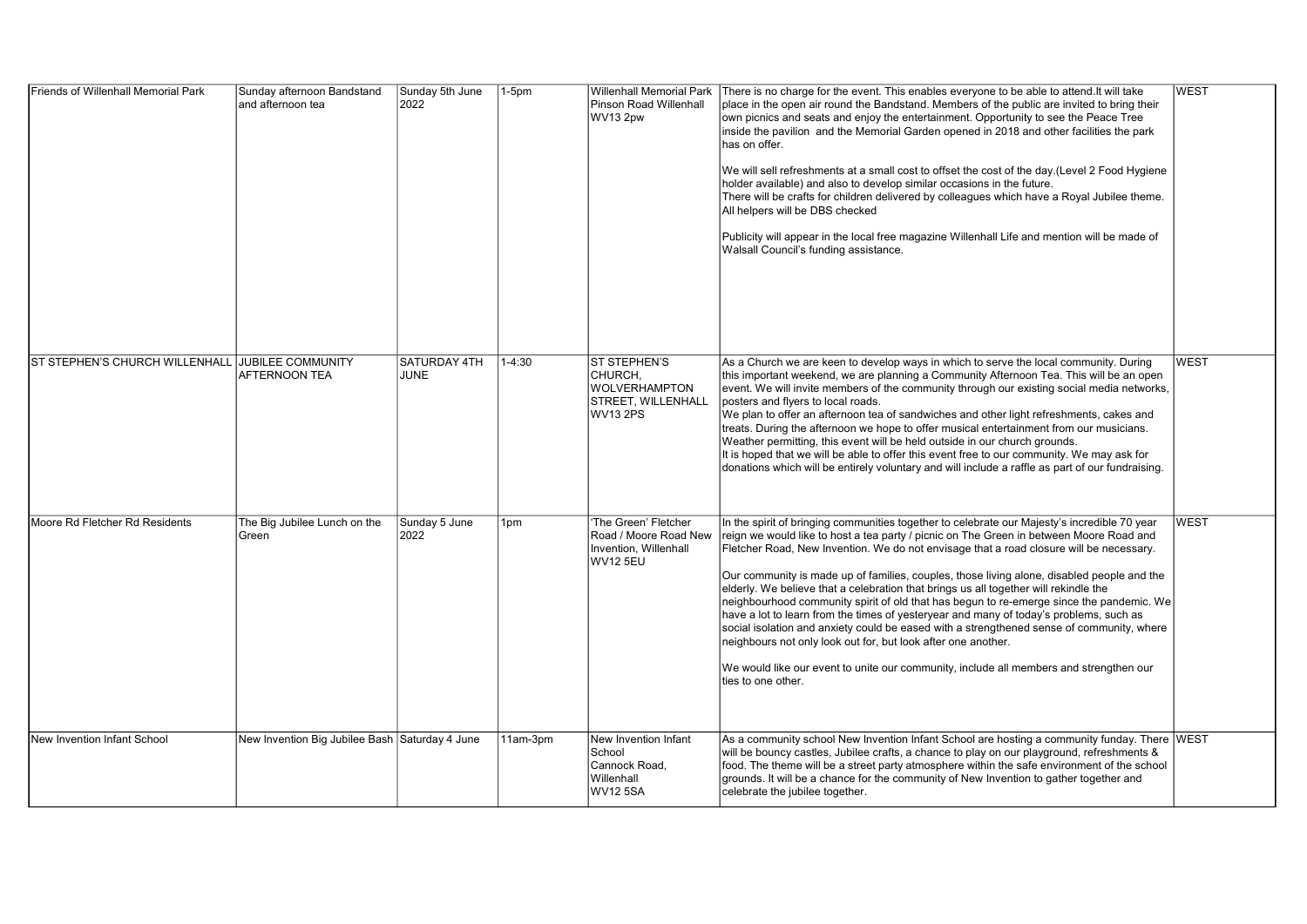| <b>Friends of Willenhall Memorial Park</b>       | Sunday afternoon Bandstand<br>and afternoon tea | Sunday 5th June<br>2022     | $1-5pm$    | <b>Willenhall Memorial Park</b><br>Pinson Road Willenhall<br>WV13 2pw                     | There is no charge for the event. This enables everyone to be able to attend. It will take<br>place in the open air round the Bandstand. Members of the public are invited to bring their<br>own picnics and seats and enjoy the entertainment. Opportunity to see the Peace Tree<br>inside the pavilion and the Memorial Garden opened in 2018 and other facilities the park<br>has on offer.<br>We will sell refreshments at a small cost to offset the cost of the day.(Level 2 Food Hygiene<br>holder available) and also to develop similar occasions in the future.<br>There will be crafts for children delivered by colleagues which have a Royal Jubilee theme.<br>All helpers will be DBS checked<br>Publicity will appear in the local free magazine Willenhall Life and mention will be made of<br>Walsall Council's funding assistance.                                                                                         | <b>WEST</b> |
|--------------------------------------------------|-------------------------------------------------|-----------------------------|------------|-------------------------------------------------------------------------------------------|----------------------------------------------------------------------------------------------------------------------------------------------------------------------------------------------------------------------------------------------------------------------------------------------------------------------------------------------------------------------------------------------------------------------------------------------------------------------------------------------------------------------------------------------------------------------------------------------------------------------------------------------------------------------------------------------------------------------------------------------------------------------------------------------------------------------------------------------------------------------------------------------------------------------------------------------|-------------|
| ST STEPHEN'S CHURCH WILLENHALL JUBILEE COMMUNITY | AFTERNOON TEA                                   | <b>SATURDAY 4TH</b><br>JUNE | $1 - 4:30$ | ST STEPHEN'S<br>CHURCH,<br><b>WOLVERHAMPTON</b><br>STREET, WILLENHALL<br><b>WV13 2PS</b>  | As a Church we are keen to develop ways in which to serve the local community. During<br>this important weekend, we are planning a Community Afternoon Tea. This will be an open<br>event. We will invite members of the community through our existing social media networks,<br>posters and flyers to local roads.<br>We plan to offer an afternoon tea of sandwiches and other light refreshments, cakes and<br>treats. During the afternoon we hope to offer musical entertainment from our musicians.<br>Weather permitting, this event will be held outside in our church grounds.<br>It is hoped that we will be able to offer this event free to our community. We may ask for<br>donations which will be entirely voluntary and will include a raffle as part of our fundraising.                                                                                                                                                   | <b>WEST</b> |
| Moore Rd Fletcher Rd Residents                   | The Big Jubilee Lunch on the<br>Green           | Sunday 5 June<br>2022       | 1pm        | 'The Green' Fletcher<br>Road / Moore Road New<br>Invention, Willenhall<br><b>WV12 5EU</b> | In the spirit of bringing communities together to celebrate our Majesty's incredible 70 year<br>reign we would like to host a tea party / picnic on The Green in between Moore Road and<br>Fletcher Road, New Invention. We do not envisage that a road closure will be necessary.<br>Our community is made up of families, couples, those living alone, disabled people and the<br>elderly. We believe that a celebration that brings us all together will rekindle the<br>neighbourhood community spirit of old that has begun to re-emerge since the pandemic. We<br>have a lot to learn from the times of yesteryear and many of today's problems, such as<br>social isolation and anxiety could be eased with a strengthened sense of community, where<br>neighbours not only look out for, but look after one another.<br>We would like our event to unite our community, include all members and strengthen our<br>ties to one other. | <b>WEST</b> |
| New Invention Infant School                      | New Invention Big Jubilee Bash Saturday 4 June  |                             | 11am-3pm   | New Invention Infant<br>School<br>Cannock Road,<br>Willenhall<br><b>WV12 5SA</b>          | $ As$ a community school New Invention Infant School are hosting a community funday. There $ \mathsf{WEST} $<br>will be bouncy castles, Jubilee crafts, a chance to play on our playground, refreshments &<br>food. The theme will be a street party atmosphere within the safe environment of the school<br>grounds. It will be a chance for the community of New Invention to gather together and<br>celebrate the jubilee together.                                                                                                                                                                                                                                                                                                                                                                                                                                                                                                       |             |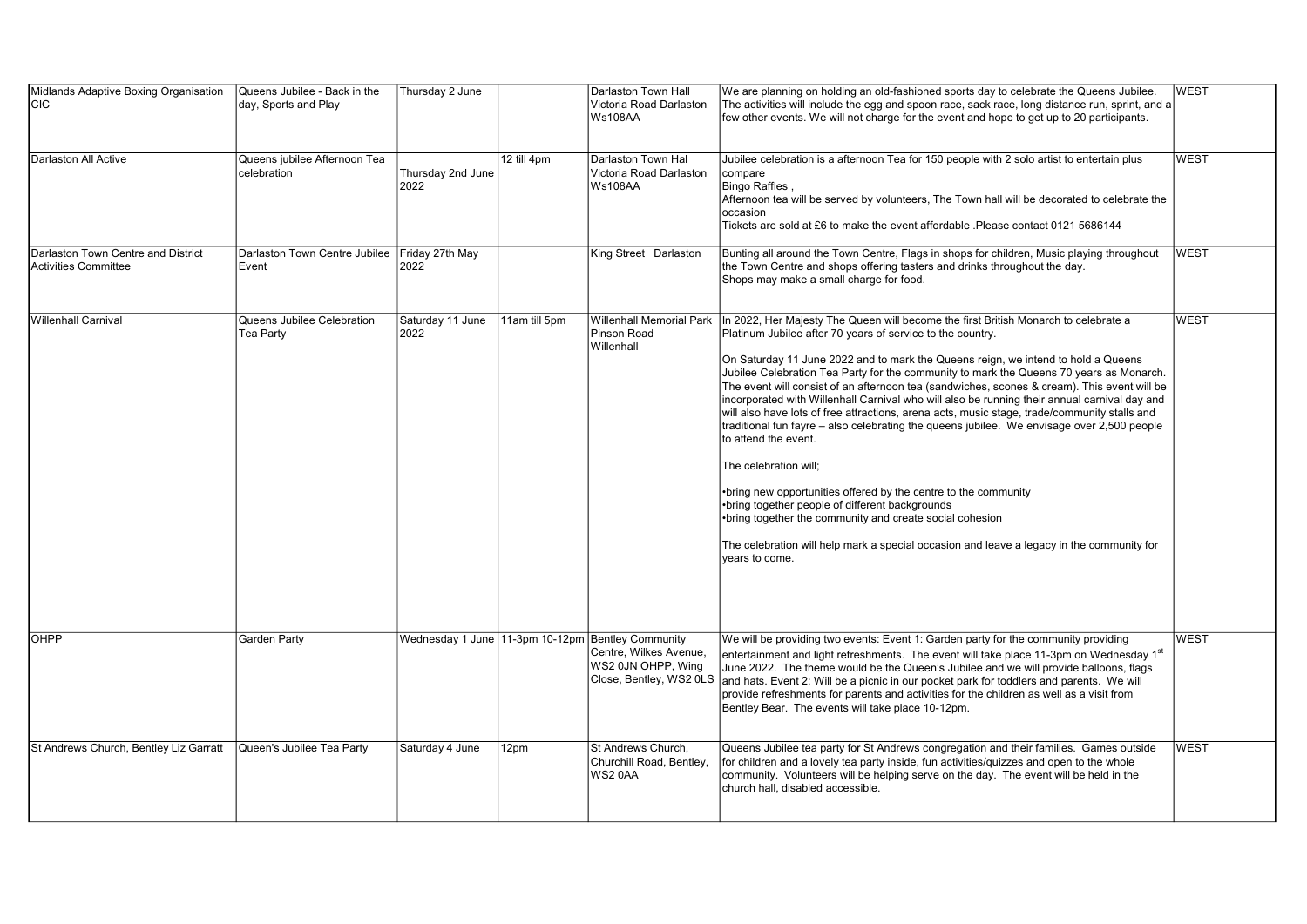| Midlands Adaptive Boxing Organisation<br>lcıc                     | Queens Jubilee - Back in the<br>day, Sports and Play | Thursday 2 June           |               | Darlaston Town Hall<br>Victoria Road Darlaston<br><b>Ws108AA</b>                                                             | We are planning on holding an old-fashioned sports day to celebrate the Queens Jubilee.<br>The activities will include the egg and spoon race, sack race, long distance run, sprint, and a<br>few other events. We will not charge for the event and hope to get up to 20 participants.                                                                                                                                                                                                                                                                                                                                                                                                                                                                                                                                                                                                                                                                                                                                                                                          | lwest       |
|-------------------------------------------------------------------|------------------------------------------------------|---------------------------|---------------|------------------------------------------------------------------------------------------------------------------------------|----------------------------------------------------------------------------------------------------------------------------------------------------------------------------------------------------------------------------------------------------------------------------------------------------------------------------------------------------------------------------------------------------------------------------------------------------------------------------------------------------------------------------------------------------------------------------------------------------------------------------------------------------------------------------------------------------------------------------------------------------------------------------------------------------------------------------------------------------------------------------------------------------------------------------------------------------------------------------------------------------------------------------------------------------------------------------------|-------------|
| Darlaston All Active                                              | Queens jubilee Afternoon Tea<br>celebration          | Thursday 2nd June<br>2022 | 12 till 4pm   | Darlaston Town Hal<br>Victoria Road Darlaston<br><b>Ws108AA</b>                                                              | Jubilee celebration is a afternoon Tea for 150 people with 2 solo artist to entertain plus<br>compare<br>Bingo Raffles,<br>Afternoon tea will be served by volunteers, The Town hall will be decorated to celebrate the<br>occasion<br>Tickets are sold at £6 to make the event affordable .Please contact 0121 5686144                                                                                                                                                                                                                                                                                                                                                                                                                                                                                                                                                                                                                                                                                                                                                          | <b>WEST</b> |
| Darlaston Town Centre and District<br><b>Activities Committee</b> | Darlaston Town Centre Jubilee<br>Event               | Friday 27th May<br>2022   |               | King Street Darlaston                                                                                                        | Bunting all around the Town Centre, Flags in shops for children, Music playing throughout<br>the Town Centre and shops offering tasters and drinks throughout the day.<br>Shops may make a small charge for food.                                                                                                                                                                                                                                                                                                                                                                                                                                                                                                                                                                                                                                                                                                                                                                                                                                                                | <b>WEST</b> |
| Willenhall Carnival                                               | Queens Jubilee Celebration<br>Tea Party              | Saturday 11 June<br>2022  | 11am till 5pm | <b>Willenhall Memorial Park</b><br>Pinson Road<br>Willenhall                                                                 | In 2022, Her Majesty The Queen will become the first British Monarch to celebrate a<br>Platinum Jubilee after 70 years of service to the country.<br>On Saturday 11 June 2022 and to mark the Queens reign, we intend to hold a Queens<br>Jubilee Celebration Tea Party for the community to mark the Queens 70 years as Monarch.<br>The event will consist of an afternoon tea (sandwiches, scones & cream). This event will be<br>incorporated with Willenhall Carnival who will also be running their annual carnival day and<br>will also have lots of free attractions, arena acts, music stage, trade/community stalls and<br>traditional fun fayre – also celebrating the queens jubilee. We envisage over 2,500 people<br>to attend the event.<br>The celebration will;<br>•bring new opportunities offered by the centre to the community<br>•bring together people of different backgrounds<br>•bring together the community and create social cohesion<br>The celebration will help mark a special occasion and leave a legacy in the community for<br>years to come. | <b>WEST</b> |
| OHPP                                                              | <b>Garden Party</b>                                  |                           |               | Wednesday 1 June 11-3pm 10-12pm Bentley Community<br>Centre. Wilkes Avenue.<br>WS2 0JN OHPP, Wing<br>Close, Bentley, WS2 0LS | We will be providing two events: Event 1: Garden party for the community providing<br>entertainment and light refreshments. The event will take place 11-3pm on Wednesday 1 <sup>st</sup><br>June 2022. The theme would be the Queen's Jubilee and we will provide balloons, flags<br>and hats. Event 2: Will be a picnic in our pocket park for toddlers and parents. We will<br>provide refreshments for parents and activities for the children as well as a visit from<br>Bentley Bear. The events will take place 10-12pm.                                                                                                                                                                                                                                                                                                                                                                                                                                                                                                                                                  | <b>WEST</b> |
| St Andrews Church, Bentley Liz Garratt                            | Queen's Jubilee Tea Party                            | Saturday 4 June           | 12pm          | St Andrews Church,<br>Churchill Road, Bentley,<br>WS20AA                                                                     | Queens Jubilee tea party for St Andrews congregation and their families. Games outside<br>for children and a lovely tea party inside, fun activities/guizzes and open to the whole<br>community. Volunteers will be helping serve on the day. The event will be held in the<br>church hall, disabled accessible.                                                                                                                                                                                                                                                                                                                                                                                                                                                                                                                                                                                                                                                                                                                                                                 | <b>WEST</b> |